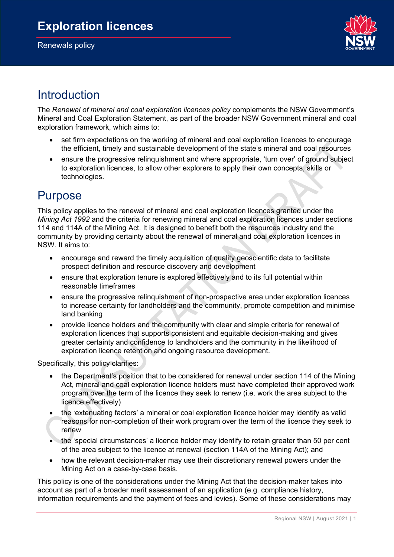Renewals policy



## Introduction

The *Renewal of mineral and coal exploration licences policy* complements the NSW Government's Mineral and Coal Exploration Statement, as part of the broader NSW Government mineral and coal exploration framework, which aims to:

- set firm expectations on the working of mineral and coal exploration licences to encourage the efficient, timely and sustainable development of the state's mineral and coal resources
- ensure the progressive relinquishment and where appropriate, 'turn over' of ground subject to exploration licences, to allow other explorers to apply their own concepts, skills or technologies.

## Purpose

This policy applies to the renewal of mineral and coal exploration licences granted under the *Mining Act 1992* and the criteria for renewing mineral and coal exploration licences under sections 114 and 114A of the Mining Act. It is designed to benefit both the resources industry and the community by providing certainty about the renewal of mineral and coal exploration licences in NSW. It aims to:

- encourage and reward the timely acquisition of quality geoscientific data to facilitate prospect definition and resource discovery and development
- ensure that exploration tenure is explored effectively and to its full potential within reasonable timeframes
- ensure the progressive relinquishment of non-prospective area under exploration licences to increase certainty for landholders and the community, promote competition and minimise land banking
- provide licence holders and the community with clear and simple criteria for renewal of exploration licences that supports consistent and equitable decision-making and gives greater certainty and confidence to landholders and the community in the likelihood of exploration licence retention and ongoing resource development.

Specifically, this policy clarifies:

- the Department's position that to be considered for renewal under section 114 of the Mining Act, mineral and coal exploration licence holders must have completed their approved work program over the term of the licence they seek to renew (i.e. work the area subject to the licence effectively)
- the 'extenuating factors' a mineral or coal exploration licence holder may identify as valid reasons for non-completion of their work program over the term of the licence they seek to renew
- the 'special circumstances' a licence holder may identify to retain greater than 50 per cent of the area subject to the licence at renewal (section 114A of the Mining Act); and
- how the relevant decision-maker may use their discretionary renewal powers under the Mining Act on a case-by-case basis.

This policy is one of the considerations under the Mining Act that the decision-maker takes into account as part of a broader merit assessment of an application (e.g. compliance history, information requirements and the payment of fees and levies). Some of these considerations may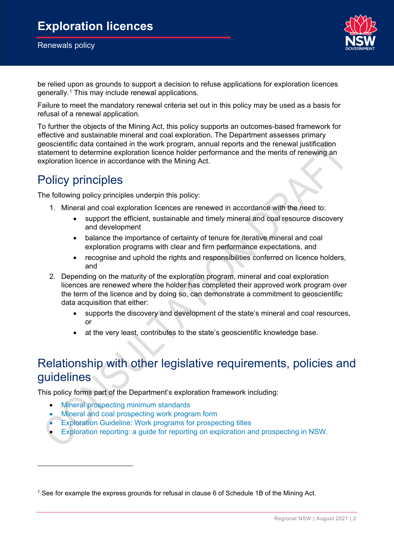

be relied upon as grounds to support a decision to refuse applications for exploration licences generally.<sup>[1](#page-1-0)</sup> This may include renewal applications.

Failure to meet the mandatory renewal criteria set out in this policy may be used as a basis for refusal of a renewal application.

To further the objects of the Mining Act, this policy supports an outcomes-based framework for effective and sustainable mineral and coal exploration. The Department assesses primary geoscientific data contained in the work program, annual reports and the renewal justification statement to determine exploration licence holder performance and the merits of renewing an exploration licence in accordance with the Mining Act.

## Policy principles

The following policy principles underpin this policy:

- 1. Mineral and coal exploration licences are renewed in accordance with the need to:
	- support the efficient, sustainable and timely mineral and coal resource discovery and development
	- balance the importance of certainty of tenure for iterative mineral and coal exploration programs with clear and firm performance expectations, and
	- recognise and uphold the rights and responsibilities conferred on licence holders, and
- 2. Depending on the maturity of the exploration program, mineral and coal exploration licences are renewed where the holder has completed their approved work program over the term of the licence and by doing so, can demonstrate a commitment to geoscientific data acquisition that either:
	- supports the discovery and development of the state's mineral and coal resources, or
	- at the very least, contributes to the state's geoscientific knowledge base.

## Relationship with other legislative requirements, policies and guidelines

This policy forms part of the Department's exploration framework including:

- [Mineral prospecting minimum standards](https://www.regional.nsw.gov.au/__data/assets/pdf_file/0003/1242930/Mineral-prospecting-minimum-standards.pdf)
- [Mineral and coal prospecting work program form](https://www.regional.nsw.gov.au/__data/assets/pdf_file/0006/573477/Mineral-Prospecting-Title-Work-Program-Form.pdf)
- **[Exploration Guideline: Work programs for prospecting titles](https://www.regional.nsw.gov.au/__data/assets/pdf_file/0009/565965/Exploration-guideline-annual-activity-reporting-for-prospecting-titles.pdf)**
- [Exploration reporting: a guide for reporting on exploration and prospecting in NSW.](https://www.regional.nsw.gov.au/__data/assets/pdf_file/0017/535112/Exploration-reporting-a-guide-for-reporting-on-exploration-and-prospecting-in-NSW.pdf)

<span id="page-1-0"></span><sup>1</sup> See for example the express grounds for refusal in clause 6 of Schedule 1B of the Mining Act.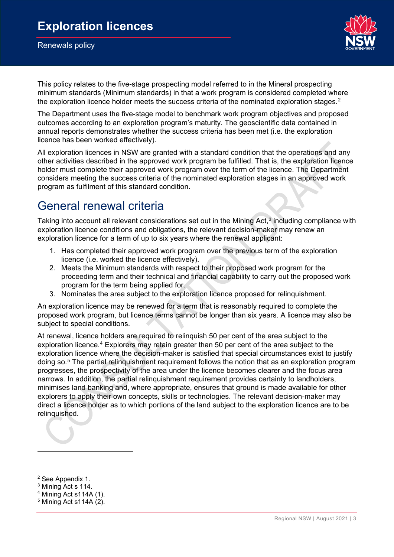

This policy relates to the five-stage prospecting model referred to in the Mineral prospecting minimum standards (Minimum standards) in that a work program is considered completed where the exploration licence holder meets the success criteria of the nominated exploration stages.<sup>[2](#page-2-0)</sup>

The Department uses the five-stage model to benchmark work program objectives and proposed outcomes according to an exploration program's maturity. The geoscientific data contained in annual reports demonstrates whether the success criteria has been met (i.e. the exploration licence has been worked effectively).

All exploration licences in NSW are granted with a standard condition that the operations and any other activities described in the approved work program be fulfilled. That is, the exploration licence holder must complete their approved work program over the term of the licence. The Department considers meeting the success criteria of the nominated exploration stages in an approved work program as fulfilment of this standard condition.

## General renewal criteria

Taking into account all relevant considerations set out in the Mining Act,<sup>[3](#page-2-1)</sup> including compliance with exploration licence conditions and obligations, the relevant decision-maker may renew an exploration licence for a term of up to six years where the renewal applicant:

- 1. Has completed their approved work program over the previous term of the exploration licence (i.e. worked the licence effectively).
- 2. Meets the Minimum standards with respect to their proposed work program for the proceeding term and their technical and financial capability to carry out the proposed work program for the term being applied for.
- 3. Nominates the area subject to the exploration licence proposed for relinquishment.

An exploration licence may be renewed for a term that is reasonably required to complete the proposed work program, but licence terms cannot be longer than six years. A licence may also be subject to special conditions.

At renewal, licence holders are required to relinquish 50 per cent of the area subject to the exploration licence.<sup>[4](#page-2-2)</sup> Explorers may retain greater than 50 per cent of the area subject to the exploration licence where the decision-maker is satisfied that special circumstances exist to justify doing so.[5](#page-2-3) The partial relinquishment requirement follows the notion that as an exploration program progresses, the prospectivity of the area under the licence becomes clearer and the focus area narrows. In addition, the partial relinquishment requirement provides certainty to landholders, minimises land banking and, where appropriate, ensures that ground is made available for other explorers to apply their own concepts, skills or technologies. The relevant decision-maker may direct a licence holder as to which portions of the land subject to the exploration licence are to be relinquished.

<span id="page-2-0"></span><sup>2</sup> See Appendix 1.

<span id="page-2-1"></span><sup>3</sup> Mining Act s 114.

<span id="page-2-2"></span><sup>4</sup> Mining Act s114A (1).

<span id="page-2-3"></span> $5$  Mining Act s114A (2).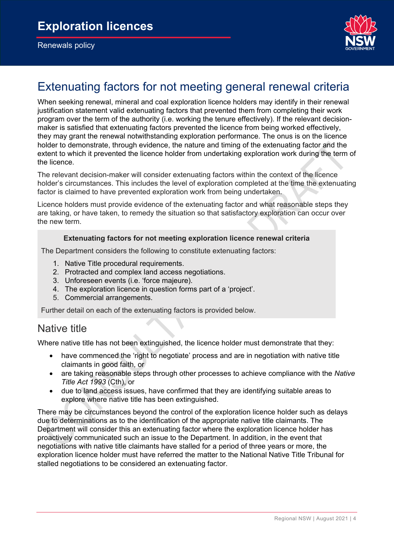

## Extenuating factors for not meeting general renewal criteria

When seeking renewal, mineral and coal exploration licence holders may identify in their renewal justification statement valid extenuating factors that prevented them from completing their work program over the term of the authority (i.e. working the tenure effectively). If the relevant decisionmaker is satisfied that extenuating factors prevented the licence from being worked effectively, they may grant the renewal notwithstanding exploration performance. The onus is on the licence holder to demonstrate, through evidence, the nature and timing of the extenuating factor and the extent to which it prevented the licence holder from undertaking exploration work during the term of the licence.

The relevant decision-maker will consider extenuating factors within the context of the licence holder's circumstances. This includes the level of exploration completed at the time the extenuating factor is claimed to have prevented exploration work from being undertaken.

Licence holders must provide evidence of the extenuating factor and what reasonable steps they are taking, or have taken, to remedy the situation so that satisfactory exploration can occur over the new term.

#### **Extenuating factors for not meeting exploration licence renewal criteria**

The Department considers the following to constitute extenuating factors:

- 1. Native Title procedural requirements.
- 2. Protracted and complex land access negotiations.
- 3. Unforeseen events (i.e. 'force majeure).
- 4. The exploration licence in question forms part of a 'project'.
- 5. Commercial arrangements.

Further detail on each of the extenuating factors is provided below.

#### Native title

Where native title has not been extinguished, the licence holder must demonstrate that they:

- have commenced the 'right to negotiate' process and are in negotiation with native title claimants in good faith, or
- are taking reasonable steps through other processes to achieve compliance with the *Native Title Act 1993* (Cth), or
- due to land access issues, have confirmed that they are identifying suitable areas to explore where native title has been extinguished.

There may be circumstances beyond the control of the exploration licence holder such as delays due to determinations as to the identification of the appropriate native title claimants. The Department will consider this an extenuating factor where the exploration licence holder has proactively communicated such an issue to the Department. In addition, in the event that negotiations with native title claimants have stalled for a period of three years or more, the exploration licence holder must have referred the matter to the National Native Title Tribunal for stalled negotiations to be considered an extenuating factor.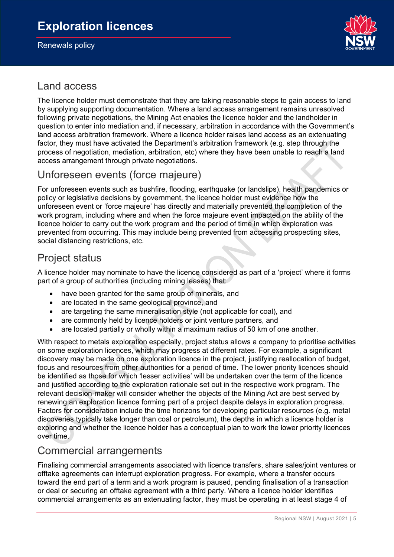

#### Land access

The licence holder must demonstrate that they are taking reasonable steps to gain access to land by supplying supporting documentation. Where a land access arrangement remains unresolved following private negotiations, the Mining Act enables the licence holder and the landholder in question to enter into mediation and, if necessary, arbitration in accordance with the Government's land access arbitration framework. Where a licence holder raises land access as an extenuating factor, they must have activated the Department's arbitration framework (e.g. step through the process of negotiation, mediation, arbitration, etc) where they have been unable to reach a land access arrangement through private negotiations.

#### Unforeseen events (force majeure)

For unforeseen events such as bushfire, flooding, earthquake (or landslips), health pandemics or policy or legislative decisions by government, the licence holder must evidence how the unforeseen event or 'force majeure' has directly and materially prevented the completion of the work program, including where and when the force majeure event impacted on the ability of the licence holder to carry out the work program and the period of time in which exploration was prevented from occurring. This may include being prevented from accessing prospecting sites, social distancing restrictions, etc.

### Project status

A licence holder may nominate to have the licence considered as part of a 'project' where it forms part of a group of authorities (including mining leases) that:

- have been granted for the same group of minerals, and
- are located in the same geological province, and
- are targeting the same mineralisation style (not applicable for coal), and
- are commonly held by licence holders or joint venture partners, and
- are located partially or wholly within a maximum radius of 50 km of one another.

With respect to metals exploration especially, project status allows a company to prioritise activities on some exploration licences, which may progress at different rates. For example, a significant discovery may be made on one exploration licence in the project, justifying reallocation of budget, focus and resources from other authorities for a period of time. The lower priority licences should be identified as those for which 'lesser activities' will be undertaken over the term of the licence and justified according to the exploration rationale set out in the respective work program. The relevant decision-maker will consider whether the objects of the Mining Act are best served by renewing an exploration licence forming part of a project despite delays in exploration progress. Factors for consideration include the time horizons for developing particular resources (e.g. metal discoveries typically take longer than coal or petroleum), the depths in which a licence holder is exploring and whether the licence holder has a conceptual plan to work the lower priority licences over time.

#### Commercial arrangements

Finalising commercial arrangements associated with licence transfers, share sales/joint ventures or offtake agreements can interrupt exploration progress. For example, where a transfer occurs toward the end part of a term and a work program is paused, pending finalisation of a transaction or deal or securing an offtake agreement with a third party. Where a licence holder identifies commercial arrangements as an extenuating factor, they must be operating in at least stage 4 of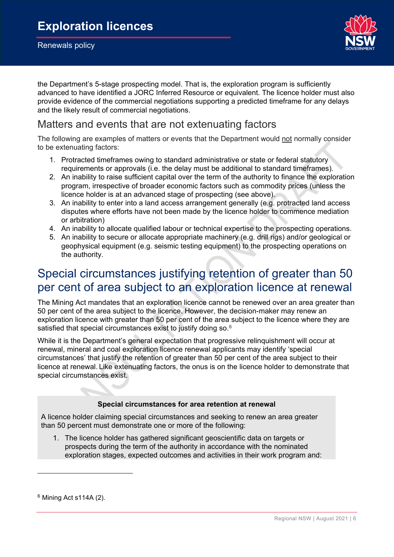

the Department's 5-stage prospecting model. That is, the exploration program is sufficiently advanced to have identified a JORC Inferred Resource or equivalent. The licence holder must also provide evidence of the commercial negotiations supporting a predicted timeframe for any delays and the likely result of commercial negotiations.

### Matters and events that are not extenuating factors

The following are examples of matters or events that the Department would not normally consider to be extenuating factors:

- 1. Protracted timeframes owing to standard administrative or state or federal statutory requirements or approvals (i.e. the delay must be additional to standard timeframes).
- 2. An inability to raise sufficient capital over the term of the authority to finance the exploration program, irrespective of broader economic factors such as commodity prices (unless the licence holder is at an advanced stage of prospecting (see above).
- 3. An inability to enter into a land access arrangement generally (e.g. protracted land access disputes where efforts have not been made by the licence holder to commence mediation or arbitration)
- 4. An inability to allocate qualified labour or technical expertise to the prospecting operations.
- 5. An inability to secure or allocate appropriate machinery (e.g. drill rigs) and/or geological or geophysical equipment (e.g. seismic testing equipment) to the prospecting operations on the authority.

## Special circumstances justifying retention of greater than 50 per cent of area subject to an exploration licence at renewal

The Mining Act mandates that an exploration licence cannot be renewed over an area greater than 50 per cent of the area subject to the licence. However, the decision-maker may renew an exploration licence with greater than 50 per cent of the area subject to the licence where they are satisfied that special circumstances exist to justify doing so.<sup>[6](#page-5-0)</sup>

While it is the Department's general expectation that progressive relinquishment will occur at renewal, mineral and coal exploration licence renewal applicants may identify 'special circumstances' that justify the retention of greater than 50 per cent of the area subject to their licence at renewal. Like extenuating factors, the onus is on the licence holder to demonstrate that special circumstances exist.

#### **Special circumstances for area retention at renewal**

A licence holder claiming special circumstances and seeking to renew an area greater than 50 percent must demonstrate one or more of the following:

1. The licence holder has gathered significant geoscientific data on targets or prospects during the term of the authority in accordance with the nominated exploration stages, expected outcomes and activities in their work program and:

<span id="page-5-0"></span> $6$  Mining Act s114A (2).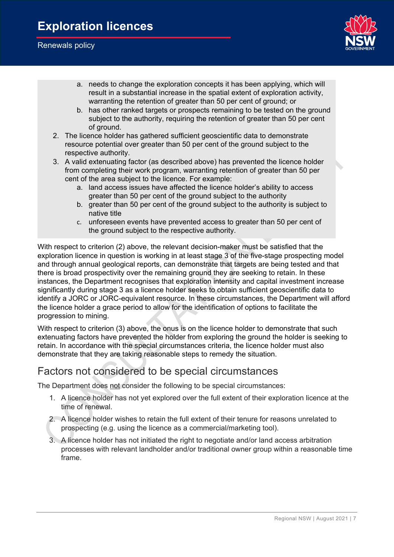

- a. needs to change the exploration concepts it has been applying, which will result in a substantial increase in the spatial extent of exploration activity, warranting the retention of greater than 50 per cent of ground; or
- b. has other ranked targets or prospects remaining to be tested on the ground subject to the authority, requiring the retention of greater than 50 per cent of ground.
- 2. The licence holder has gathered sufficient geoscientific data to demonstrate resource potential over greater than 50 per cent of the ground subject to the respective authority.
- 3. A valid extenuating factor (as described above) has prevented the licence holder from completing their work program, warranting retention of greater than 50 per cent of the area subject to the licence. For example:
	- a. land access issues have affected the licence holder's ability to access greater than 50 per cent of the ground subject to the authority
	- b. greater than 50 per cent of the ground subject to the authority is subject to native title
	- c. unforeseen events have prevented access to greater than 50 per cent of the ground subject to the respective authority.

With respect to criterion (2) above, the relevant decision-maker must be satisfied that the exploration licence in question is working in at least stage 3 of the five-stage prospecting model and through annual geological reports, can demonstrate that targets are being tested and that there is broad prospectivity over the remaining ground they are seeking to retain. In these instances, the Department recognises that exploration intensity and capital investment increase significantly during stage 3 as a licence holder seeks to obtain sufficient geoscientific data to identify a JORC or JORC-equivalent resource. In these circumstances, the Department will afford the licence holder a grace period to allow for the identification of options to facilitate the progression to mining.

With respect to criterion (3) above, the onus is on the licence holder to demonstrate that such extenuating factors have prevented the holder from exploring the ground the holder is seeking to retain. In accordance with the special circumstances criteria, the licence holder must also demonstrate that they are taking reasonable steps to remedy the situation.

#### Factors not considered to be special circumstances

The Department does not consider the following to be special circumstances:

- 1. A licence holder has not yet explored over the full extent of their exploration licence at the time of renewal.
- 2. A licence holder wishes to retain the full extent of their tenure for reasons unrelated to prospecting (e.g. using the licence as a commercial/marketing tool).
- 3. A licence holder has not initiated the right to negotiate and/or land access arbitration processes with relevant landholder and/or traditional owner group within a reasonable time frame.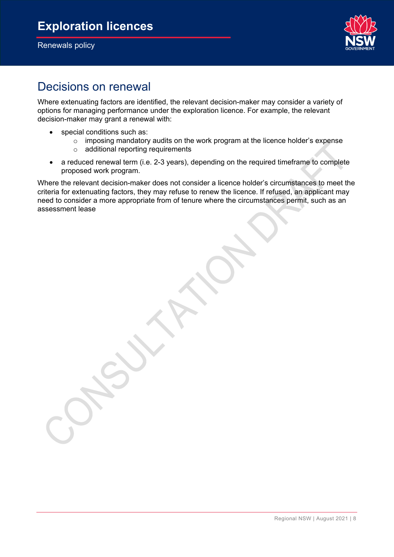Renewals policy



## Decisions on renewal

Where extenuating factors are identified, the relevant decision-maker may consider a variety of options for managing performance under the exploration licence. For example, the relevant decision-maker may grant a renewal with:

- special conditions such as:
	- o imposing mandatory audits on the work program at the licence holder's expense
	- o additional reporting requirements
- a reduced renewal term (i.e. 2-3 years), depending on the required timeframe to complete proposed work program.

Where the relevant decision-maker does not consider a licence holder's circumstances to meet the criteria for extenuating factors, they may refuse to renew the licence. If refused, an applicant may need to consider a more appropriate from of tenure where the circumstances permit, such as an assessment lease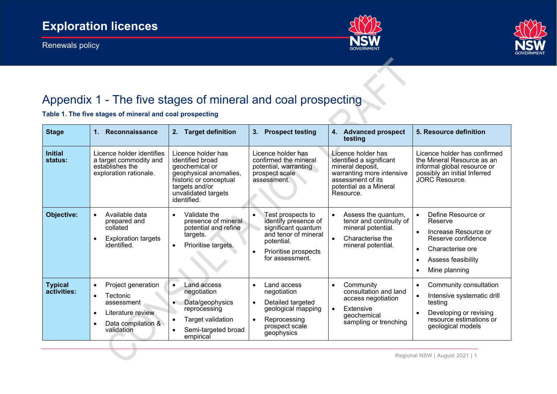Renewals policy





# Appendix 1 - The five stages of mineral and coal prospecting

**Table 1. The five stages of mineral and coal prospecting**

| <b>Stage</b>                  | Reconnaissance<br>1.                                                                                                                                      | <b>Target definition</b><br>2.                                                                                                                                       | <b>Prospect testing</b><br>3.                                                                                                                     | <b>Advanced prospect</b><br>4.<br>testing                                                                                                                   | 5. Resource definition                                                                                                                                              |
|-------------------------------|-----------------------------------------------------------------------------------------------------------------------------------------------------------|----------------------------------------------------------------------------------------------------------------------------------------------------------------------|---------------------------------------------------------------------------------------------------------------------------------------------------|-------------------------------------------------------------------------------------------------------------------------------------------------------------|---------------------------------------------------------------------------------------------------------------------------------------------------------------------|
| <b>Initial</b><br>status:     | Licence holder identifies<br>a target commodity and<br>establishes the<br>exploration rationale.                                                          | Licence holder has<br>identified broad<br>geochemical or<br>geophysical anomalies,<br>historic or conceptual<br>targets and/or<br>unvalidated targets<br>identified. | Licence holder has<br>confirmed the mineral<br>potential, warranting<br>prospect scale<br>assessment.                                             | Licence holder has<br>identified a significant<br>mineral deposit,<br>warranting more intensive<br>assessment of its<br>potential as a Mineral<br>Resource. | Licence holder has confirmed<br>the Mineral Resource as an<br>informal global resource or<br>possibly an initial Inferred<br>JORC Resource.                         |
| Objective:                    | Available data<br>$\bullet$<br>prepared and<br>collated<br><b>Exploration targets</b><br>$\bullet$<br>identified.                                         | Validate the<br>presence of mineral<br>potential and refine<br>targets.<br>Prioritise targets.                                                                       | Test prospects to<br>identify presence of<br>significant quantum<br>and tenor of mineral<br>potential.<br>Prioritise prospects<br>for assessment. | Assess the quantum,<br>$\bullet$<br>tenor and continuity of<br>mineral potential.<br>Characterise the<br>$\bullet$<br>mineral potential.                    | Define Resource or<br>Reserve<br>Increase Resource or<br>Reserve confidence<br>Characterise ore<br>Assess feasibility<br>Mine planning                              |
| <b>Typical</b><br>activities: | Project generation<br>$\bullet$<br>Tectonic<br>$\bullet$<br>assessment<br>Literature review<br>$\bullet$<br>Data compilation &<br>$\bullet$<br>validation | Land access<br>$\bullet$<br>negotiation<br>Data/geophysics<br>reprocessing<br>Target validation<br>Semi-targeted broad<br>empirical                                  | Land access<br>negotiation<br>Detailed targeted<br>geological mapping<br>Reprocessing<br>prospect scale<br>geophysics                             | Community<br>$\bullet$<br>consultation and land<br>access negotiation<br>Extensive<br>$\bullet$<br>geochemical<br>sampling or trenching                     | Community consultation<br>$\bullet$<br>Intensive systematic drill<br>$\bullet$<br>testing<br>Developing or revising<br>resource estimations or<br>geological models |